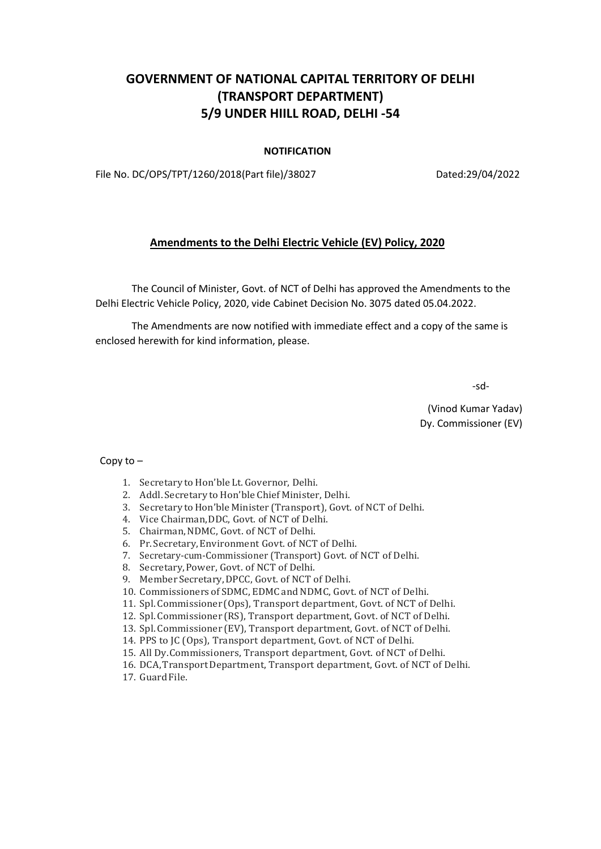# **GOVERNMENT OF NATIONAL CAPITAL TERRITORY OF DELHI (TRANSPORT DEPARTMENT) 5/9 UNDER HIILL ROAD, DELHI -54**

#### **NOTIFICATION**

File No. DC/OPS/TPT/1260/2018(Part file)/38027 Dated:29/04/2022

#### **Amendments to the Delhi Electric Vehicle (EV) Policy, 2020**

The Council of Minister, Govt. of NCT of Delhi has approved the Amendments to the Delhi Electric Vehicle Policy, 2020, vide Cabinet Decision No. 3075 dated 05.04.2022.

The Amendments are now notified with immediate effect and a copy of the same is enclosed herewith for kind information, please.

-sd-

(Vinod Kumar Yadav) Dy. Commissioner (EV)

Copy to –

- 1. Secretary to Hon'ble Lt. Governor, Delhi.
- 2. Addl. Secretary to Hon'ble Chief Minister, Delhi.
- 3. Secretary to Hon'ble Minister (Transport), Govt. of NCT of Delhi.
- 4. Vice Chairman,DDC, Govt. of NCT of Delhi.
- 5. Chairman,NDMC, Govt. of NCT of Delhi.
- 6. Pr.Secretary,Environment Govt. of NCT of Delhi.
- 7. Secretary-cum-Commissioner (Transport) Govt. of NCT of Delhi.
- 8. Secretary,Power, Govt. of NCT of Delhi.
- 9. Member Secretary, DPCC, Govt. of NCT of Delhi.
- 10. Commissioners of SDMC, EDMC and NDMC, Govt. of NCT of Delhi.
- 11. Spl.Commissioner (Ops), Transport department, Govt. of NCT of Delhi.
- 12. Spl.Commissioner (RS), Transport department, Govt. of NCT of Delhi.
- 13. Spl.Commissioner (EV), Transport department, Govt. of NCT of Delhi.
- 14. PPS to JC (Ops), Transport department, Govt. of NCT of Delhi.
- 15. All Dy.Commissioners, Transport department, Govt. of NCT of Delhi.
- 16. DCA,TransportDepartment, Transport department, Govt. of NCT of Delhi.
- 17. Guard File.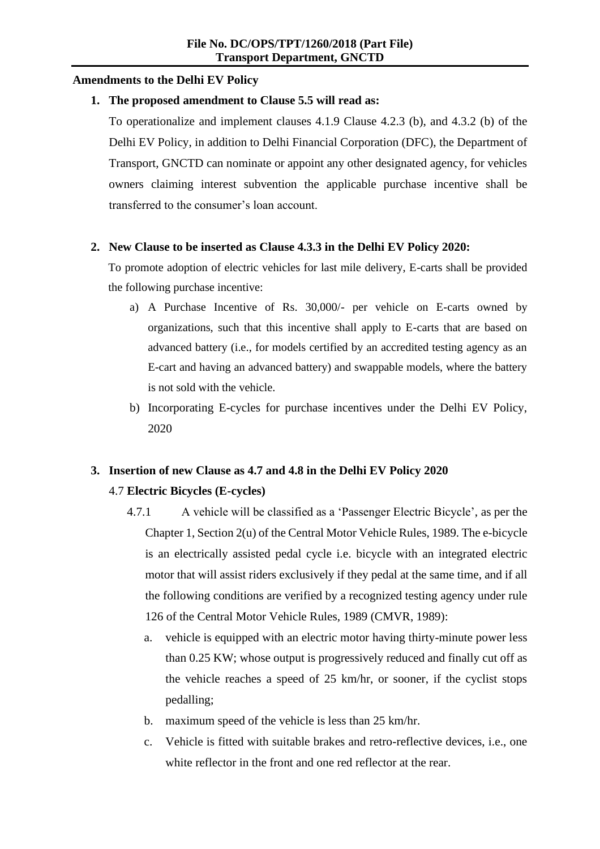#### **Amendments to the Delhi EV Policy**

# **1. The proposed amendment to Clause 5.5 will read as:**

To operationalize and implement clauses 4.1.9 Clause 4.2.3 (b), and 4.3.2 (b) of the Delhi EV Policy, in addition to Delhi Financial Corporation (DFC), the Department of Transport, GNCTD can nominate or appoint any other designated agency, for vehicles owners claiming interest subvention the applicable purchase incentive shall be transferred to the consumer's loan account.

# **2. New Clause to be inserted as Clause 4.3.3 in the Delhi EV Policy 2020:**

To promote adoption of electric vehicles for last mile delivery, E-carts shall be provided the following purchase incentive:

- a) A Purchase Incentive of Rs. 30,000/- per vehicle on E-carts owned by organizations, such that this incentive shall apply to E-carts that are based on advanced battery (i.e., for models certified by an accredited testing agency as an E-cart and having an advanced battery) and swappable models, where the battery is not sold with the vehicle.
- b) Incorporating E-cycles for purchase incentives under the Delhi EV Policy, 2020

# **3. Insertion of new Clause as 4.7 and 4.8 in the Delhi EV Policy 2020**

# 4.7 **Electric Bicycles (E-cycles)**

- 4.7.1 A vehicle will be classified as a 'Passenger Electric Bicycle', as per the Chapter 1, Section 2(u) of the Central Motor Vehicle Rules, 1989. The e-bicycle is an electrically assisted pedal cycle i.e. bicycle with an integrated electric motor that will assist riders exclusively if they pedal at the same time, and if all the following conditions are verified by a recognized testing agency under rule 126 of the Central Motor Vehicle Rules, 1989 (CMVR, 1989):
	- a. vehicle is equipped with an electric motor having thirty-minute power less than 0.25 KW; whose output is progressively reduced and finally cut off as the vehicle reaches a speed of 25 km/hr, or sooner, if the cyclist stops pedalling;
	- b. maximum speed of the vehicle is less than 25 km/hr.
	- c. Vehicle is fitted with suitable brakes and retro-reflective devices, i.e., one white reflector in the front and one red reflector at the rear.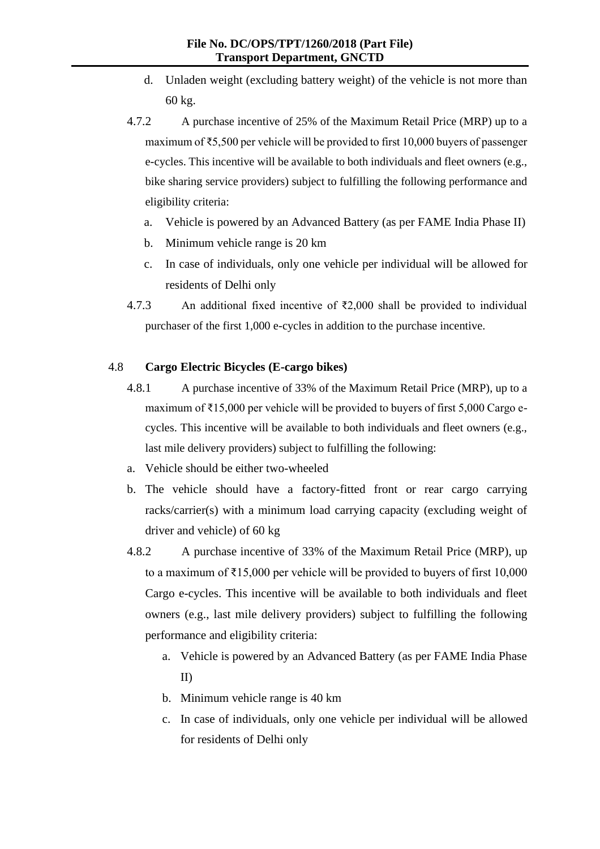- d. Unladen weight (excluding battery weight) of the vehicle is not more than 60 kg.
- 4.7.2 A purchase incentive of 25% of the Maximum Retail Price (MRP) up to a maximum of ₹5,500 per vehicle will be provided to first 10,000 buyers of passenger e-cycles. This incentive will be available to both individuals and fleet owners (e.g., bike sharing service providers) subject to fulfilling the following performance and eligibility criteria:
	- a. Vehicle is powered by an Advanced Battery (as per FAME India Phase II)
	- b. Minimum vehicle range is 20 km
	- c. In case of individuals, only one vehicle per individual will be allowed for residents of Delhi only
- 4.7.3 An additional fixed incentive of ₹2,000 shall be provided to individual purchaser of the first 1,000 e-cycles in addition to the purchase incentive.

# 4.8 **Cargo Electric Bicycles (E-cargo bikes)**

- 4.8.1 A purchase incentive of 33% of the Maximum Retail Price (MRP), up to a maximum of ₹15,000 per vehicle will be provided to buyers of first 5,000 Cargo ecycles. This incentive will be available to both individuals and fleet owners (e.g., last mile delivery providers) subject to fulfilling the following:
- a. Vehicle should be either two-wheeled
- b. The vehicle should have a factory-fitted front or rear cargo carrying racks/carrier(s) with a minimum load carrying capacity (excluding weight of driver and vehicle) of 60 kg
- 4.8.2 A purchase incentive of 33% of the Maximum Retail Price (MRP), up to a maximum of ₹15,000 per vehicle will be provided to buyers of first 10,000 Cargo e-cycles. This incentive will be available to both individuals and fleet owners (e.g., last mile delivery providers) subject to fulfilling the following performance and eligibility criteria:
	- a. Vehicle is powered by an Advanced Battery (as per FAME India Phase II)
	- b. Minimum vehicle range is 40 km
	- c. In case of individuals, only one vehicle per individual will be allowed for residents of Delhi only